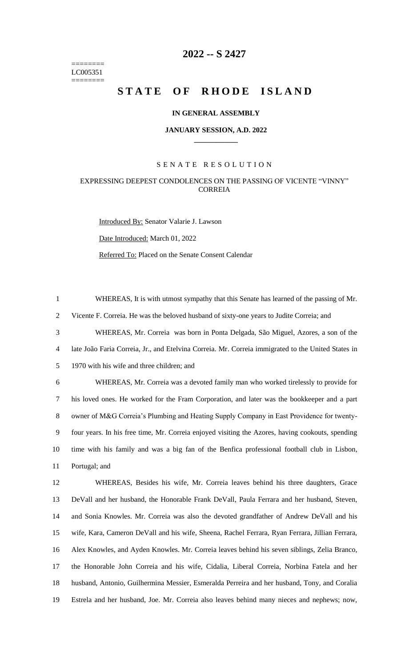======== LC005351 ========

# **-- S 2427**

# **STATE OF RHODE ISLAND**

## **IN GENERAL ASSEMBLY**

#### **JANUARY SESSION, A.D. 2022 \_\_\_\_\_\_\_\_\_\_\_\_**

# S E N A T E R E S O L U T I O N

# EXPRESSING DEEPEST CONDOLENCES ON THE PASSING OF VICENTE "VINNY" **CORREIA**

Introduced By: Senator Valarie J. Lawson Date Introduced: March 01, 2022 Referred To: Placed on the Senate Consent Calendar

 WHEREAS, It is with utmost sympathy that this Senate has learned of the passing of Mr. Vicente F. Correia. He was the beloved husband of sixty-one years to Judite Correia; and WHEREAS, Mr. Correia was born in Ponta Delgada, São Miguel, Azores, a son of the late João Faria Correia, Jr., and Etelvina Correia. Mr. Correia immigrated to the United States in 1970 with his wife and three children; and WHEREAS, Mr. Correia was a devoted family man who worked tirelessly to provide for his loved ones. He worked for the Fram Corporation, and later was the bookkeeper and a part owner of M&G Correia's Plumbing and Heating Supply Company in East Providence for twenty- four years. In his free time, Mr. Correia enjoyed visiting the Azores, having cookouts, spending time with his family and was a big fan of the Benfica professional football club in Lisbon, Portugal; and WHEREAS, Besides his wife, Mr. Correia leaves behind his three daughters, Grace DeVall and her husband, the Honorable Frank DeVall, Paula Ferrara and her husband, Steven, and Sonia Knowles. Mr. Correia was also the devoted grandfather of Andrew DeVall and his wife, Kara, Cameron DeVall and his wife, Sheena, Rachel Ferrara, Ryan Ferrara, Jillian Ferrara, Alex Knowles, and Ayden Knowles. Mr. Correia leaves behind his seven siblings, Zelia Branco, the Honorable John Correia and his wife, Cidalia, Liberal Correia, Norbina Fatela and her husband, Antonio, Guilhermina Messier, Esmeralda Perreira and her husband, Tony, and Coralia Estrela and her husband, Joe. Mr. Correia also leaves behind many nieces and nephews; now,